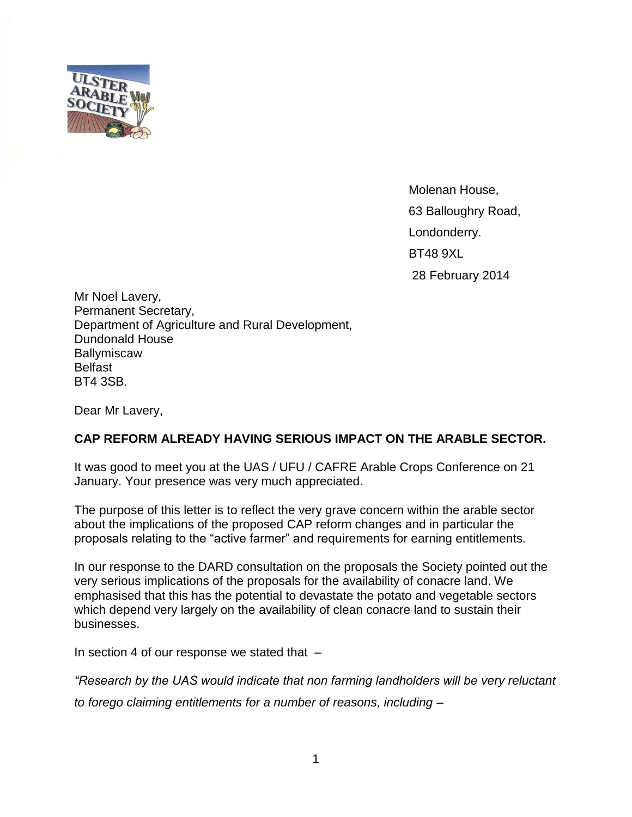

Molenan House, 63 Balloughry Road, Londonderry. BT48 9XL 28 February 2014

Mr Noel Lavery, Permanent Secretary, Department of Agriculture and Rural Development, Dundonald House **Ballymiscaw** Belfast BT4 3SB.

Dear Mr Lavery,

## **CAP REFORM ALREADY HAVING SERIOUS IMPACT ON THE ARABLE SECTOR.**

It was good to meet you at the UAS / UFU / CAFRE Arable Crops Conference on 21 January. Your presence was very much appreciated.

The purpose of this letter is to reflect the very grave concern within the arable sector about the implications of the proposed CAP reform changes and in particular the proposals relating to the "active farmer" and requirements for earning entitlements.

In our response to the DARD consultation on the proposals the Society pointed out the very serious implications of the proposals for the availability of conacre land. We emphasised that this has the potential to devastate the potato and vegetable sectors which depend very largely on the availability of clean conacre land to sustain their businesses.

In section 4 of our response we stated that  $-$ 

*"Research by the UAS would indicate that non farming landholders will be very reluctant to forego claiming entitlements for a number of reasons, including –*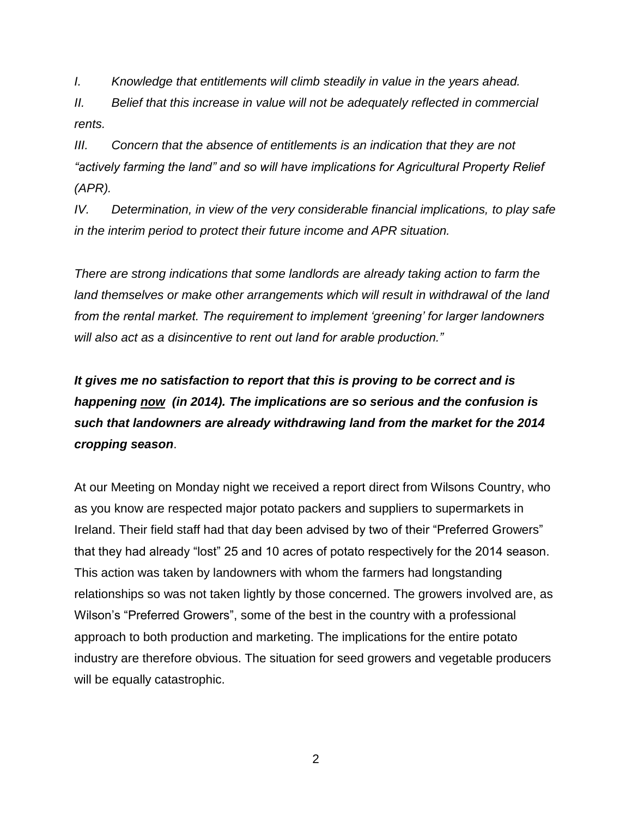*I. Knowledge that entitlements will climb steadily in value in the years ahead.*

*II. Belief that this increase in value will not be adequately reflected in commercial rents.*

*III. Concern that the absence of entitlements is an indication that they are not "actively farming the land" and so will have implications for Agricultural Property Relief (APR).*

*IV. Determination, in view of the very considerable financial implications, to play safe in the interim period to protect their future income and APR situation.*

*There are strong indications that some landlords are already taking action to farm the land themselves or make other arrangements which will result in withdrawal of the land from the rental market. The requirement to implement 'greening' for larger landowners will also act as a disincentive to rent out land for arable production."*

*It gives me no satisfaction to report that this is proving to be correct and is happening now (in 2014). The implications are so serious and the confusion is such that landowners are already withdrawing land from the market for the 2014 cropping season*.

At our Meeting on Monday night we received a report direct from Wilsons Country, who as you know are respected major potato packers and suppliers to supermarkets in Ireland. Their field staff had that day been advised by two of their "Preferred Growers" that they had already "lost" 25 and 10 acres of potato respectively for the 2014 season. This action was taken by landowners with whom the farmers had longstanding relationships so was not taken lightly by those concerned. The growers involved are, as Wilson's "Preferred Growers", some of the best in the country with a professional approach to both production and marketing. The implications for the entire potato industry are therefore obvious. The situation for seed growers and vegetable producers will be equally catastrophic.

2